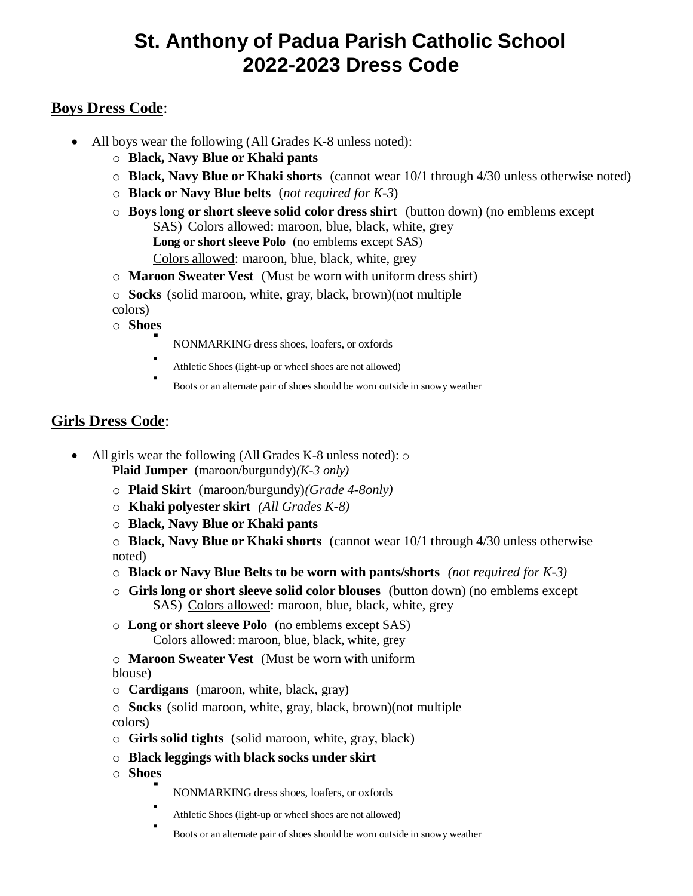## **St. Anthony of Padua Parish Catholic School 2022-2023 Dress Code**

## **Boys Dress Code**:

- All boys wear the following (All Grades K-8 unless noted):
	- o **Black, Navy Blue or Khaki pants**
	- o **Black, Navy Blue or Khaki shorts** (cannot wear 10/1 through 4/30 unless otherwise noted)
	- o **Black or Navy Blue belts** (*not required for K-3*)
	- o **Boys long or short sleeve solid color dress shirt** (button down) (no emblems except SAS) Colors allowed: maroon, blue, black, white, grey **Long or short sleeve Polo** (no emblems except SAS) Colors allowed: maroon, blue, black, white, grey
	- o **Maroon Sweater Vest** (Must be worn with uniform dress shirt)
	- o **Socks** (solid maroon, white, gray, black, brown)(not multiple colors)
	- o **Shoes** .
		- NONMARKING dress shoes, loafers, or oxfords
		- . Athletic Shoes (light-up or wheel shoes are not allowed)
		- . Boots or an alternate pair of shoes should be worn outside in snowy weather

#### **Girls Dress Code**:

- All girls wear the following (All Grades K-8 unless noted):  $\circ$ **Plaid Jumper** (maroon/burgundy)*(K-3 only)*
	- o **Plaid Skirt** (maroon/burgundy)*(Grade 4-8only)*
	- o **Khaki polyester skirt** *(All Grades K-8)*
	- o **Black, Navy Blue or Khaki pants**

o **Black, Navy Blue or Khaki shorts** (cannot wear 10/1 through 4/30 unless otherwise noted)

- o **Black or Navy Blue Belts to be worn with pants/shorts** *(not required for K-3)*
- o **Girls long or short sleeve solid color blouses** (button down) (no emblems except SAS) Colors allowed: maroon, blue, black, white, grey
- o **Long or short sleeve Polo** (no emblems except SAS) Colors allowed: maroon, blue, black, white, grey
- o **Maroon Sweater Vest** (Must be worn with uniform blouse)
- o **Cardigans** (maroon, white, black, gray)
- o **Socks** (solid maroon, white, gray, black, brown)(not multiple colors)
- o **Girls solid tights** (solid maroon, white, gray, black)
- o **Black leggings with black socks under skirt**
- o **Shoes** .
	- NONMARKING dress shoes, loafers, or oxfords
	- . Athletic Shoes (light-up or wheel shoes are not allowed)
	- . Boots or an alternate pair of shoes should be worn outside in snowy weather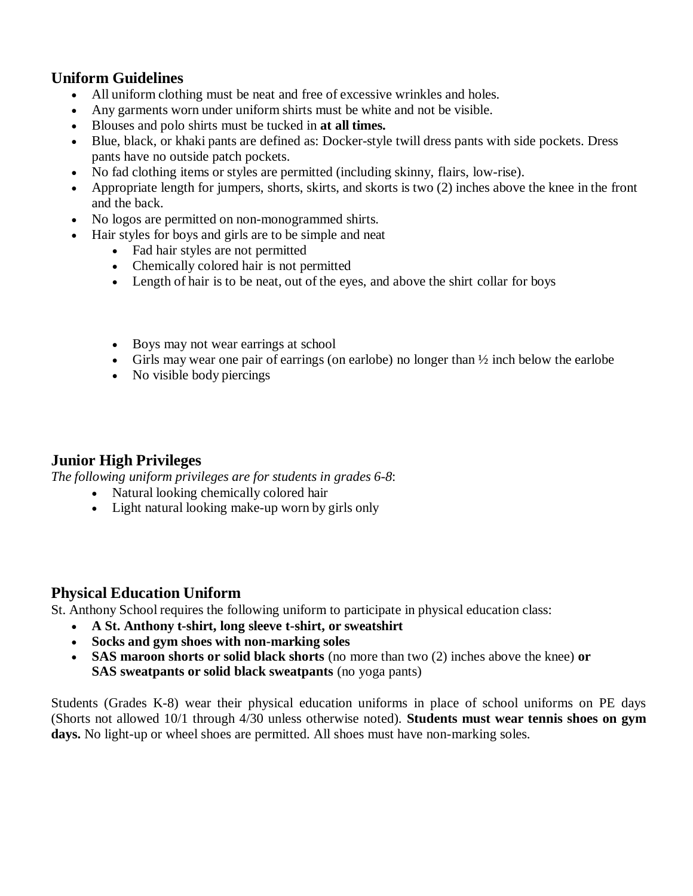#### **Uniform Guidelines**

- All uniform clothing must be neat and free of excessive wrinkles and holes.
- Any garments worn under uniform shirts must be white and not be visible.
- Blouses and polo shirts must be tucked in **at all times.**
- Blue, black, or khaki pants are defined as: Docker-style twill dress pants with side pockets. Dress pants have no outside patch pockets.
- No fad clothing items or styles are permitted (including skinny, flairs, low-rise).
- Appropriate length for jumpers, shorts, skirts, and skorts is two (2) inches above the knee in the front and the back.
- No logos are permitted on non-monogrammed shirts.
- Hair styles for boys and girls are to be simple and neat
	- Fad hair styles are not permitted
	- Chemically colored hair is not permitted
	- Length of hair is to be neat, out of the eyes, and above the shirt collar for boys
	- Boys may not wear earrings at school
	- Girls may wear one pair of earrings (on earlobe) no longer than  $\frac{1}{2}$  inch below the earlobe
	- No visible body piercings

#### **Junior High Privileges**

*The following uniform privileges are for students in grades 6-8*:

- Natural looking chemically colored hair
- Light natural looking make-up worn by girls only

## **Physical Education Uniform**

St. Anthony School requires the following uniform to participate in physical education class:

- **A St. Anthony t-shirt, long sleeve t-shirt, or sweatshirt**
- **Socks and gym shoes with non-marking soles**
- **SAS maroon shorts or solid black shorts** (no more than two (2) inches above the knee) **or SAS sweatpants or solid black sweatpants** (no yoga pants)

Students (Grades K-8) wear their physical education uniforms in place of school uniforms on PE days (Shorts not allowed 10/1 through 4/30 unless otherwise noted). **Students must wear tennis shoes on gym**  days. No light-up or wheel shoes are permitted. All shoes must have non-marking soles.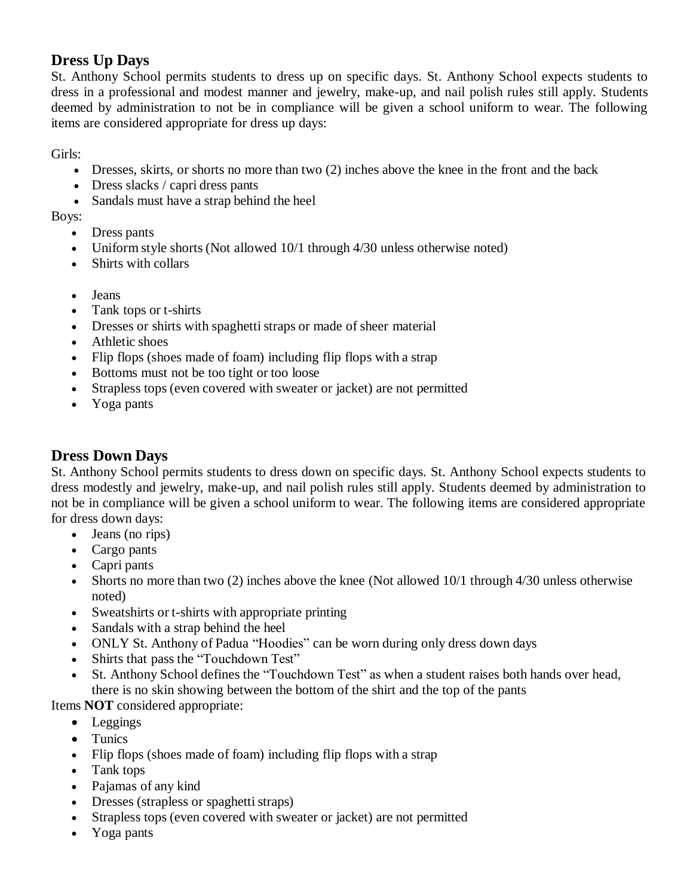## **Dress Up Days**

St. Anthony School permits students to dress up on specific days. St. Anthony School expects students to dress in a professional and modest manner and jewelry, make-up, and nail polish rules still apply. Students deemed by administration to not be in compliance will be given a school uniform to wear. The following items are considered appropriate for dress up days:

Girls:

- Dresses, skirts, or shorts no more than two (2) inches above the knee in the front and the back
- Dress slacks / capri dress pants
- Sandals must have a strap behind the heel

Boys:

- Dress pants
- Uniform style shorts (Not allowed 10/1 through 4/30 unless otherwise noted)
- Shirts with collars
- Jeans
- Tank tops or t-shirts
- Dresses or shirts with spaghetti straps or made of sheer material
- Athletic shoes
- Flip flops (shoes made of foam) including flip flops with a strap
- Bottoms must not be too tight or too loose
- Strapless tops (even covered with sweater or jacket) are not permitted
- Yoga pants

## **Dress Down Days**

St. Anthony School permits students to dress down on specific days. St. Anthony School expects students to dress modestly and jewelry, make-up, and nail polish rules still apply. Students deemed by administration to not be in compliance will be given a school uniform to wear. The following items are considered appropriate for dress down days:

- Jeans (no rips)
- Cargo pants
- Capri pants
- Shorts no more than two  $(2)$  inches above the knee (Not allowed  $10/1$  through 4/30 unless otherwise noted)
- Sweatshirts or t-shirts with appropriate printing
- Sandals with a strap behind the heel
- ONLY St. Anthony of Padua "Hoodies" can be worn during only dress down days
- Shirts that pass the "Touchdown Test"
- St. Anthony School defines the "Touchdown Test" as when a student raises both hands over head, there is no skin showing between the bottom of the shirt and the top of the pants

Items **NOT** considered appropriate:

- Leggings
- Tunics
- Flip flops (shoes made of foam) including flip flops with a strap
- Tank tops
- Pajamas of any kind
- Dresses (strapless or spaghetti straps)
- Strapless tops (even covered with sweater or jacket) are not permitted
- Yoga pants